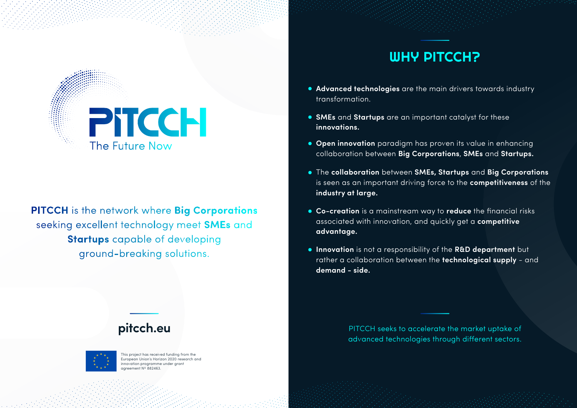

**PITCCH** is the network where Big Corporations seeking excellent technology meet SMEs and **Startups** capable of developing ground-breaking solutions.

# WHY PITCCH?

- **Advanced technologies** are the main drivers towards industry transformation.
- **SMEs** and **Startups** are an important catalyst for these **innovations.**
- **Open innovation** paradigm has proven its value in enhancing collaboration between **Big Corporations**, **SMEs** and **Startups.**
- The **collaboration** between **SMEs, Startups** and **Big Corporations** is seen as an important driving force to the **competitiveness** of the **industry at large.**
- **Co-creation** is a mainstream way to **reduce** the financial risks associated with innovation, and quickly get a **competitive advantage.**
- **Innovation** is not a responsibility of the **R&D department** but rather a collaboration between the **technological supply** - and **demand - side.**

PITCCH seeks to accelerate the market uptake of advanced technologies through different sectors.

## **pitcch.eu**



This project has received funding from the European Union's Horizon 2020 research and innovation programme under grant agreement Nº 882463.